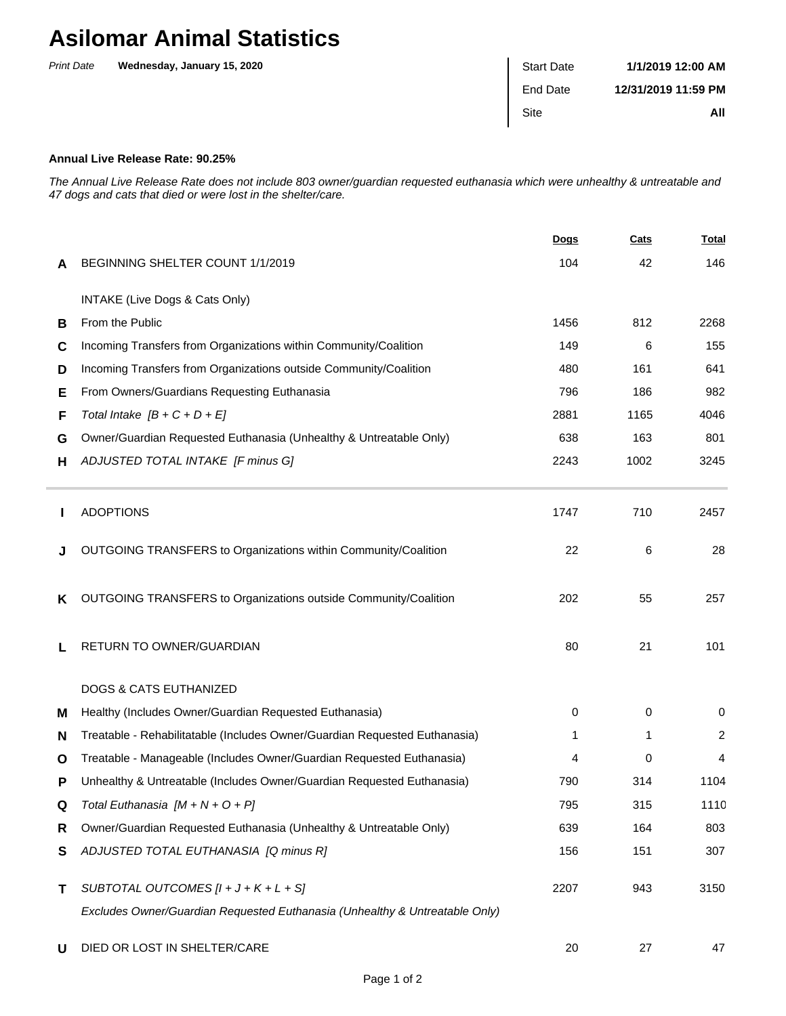## **Asilomar Animal Statistics**

| <b>Print Date</b> | Wednesday, January 15, 2020 | <b>Start Date</b> | 1/1/2019 12:00 AM   |
|-------------------|-----------------------------|-------------------|---------------------|
|                   |                             | End Date          | 12/31/2019 11:59 PM |
|                   |                             | Site              | All                 |
|                   |                             |                   |                     |

## **Annual Live Release Rate: 90.25%**

The Annual Live Release Rate does not include 803 owner/guardian requested euthanasia which were unhealthy & untreatable and 47 dogs and cats that died or were lost in the shelter/care.

|   |                                                                             | Dogs | Cats | <b>Total</b> |
|---|-----------------------------------------------------------------------------|------|------|--------------|
| A | BEGINNING SHELTER COUNT 1/1/2019                                            | 104  | 42   | 146          |
|   | INTAKE (Live Dogs & Cats Only)                                              |      |      |              |
| B | From the Public                                                             | 1456 | 812  | 2268         |
| C | Incoming Transfers from Organizations within Community/Coalition            | 149  | 6    | 155          |
| D | Incoming Transfers from Organizations outside Community/Coalition           | 480  | 161  | 641          |
| Е | From Owners/Guardians Requesting Euthanasia                                 | 796  | 186  | 982          |
| F | Total Intake $[B + C + D + E]$                                              | 2881 | 1165 | 4046         |
| G | Owner/Guardian Requested Euthanasia (Unhealthy & Untreatable Only)          | 638  | 163  | 801          |
| н | ADJUSTED TOTAL INTAKE [F minus G]                                           | 2243 | 1002 | 3245         |
|   | <b>ADOPTIONS</b>                                                            | 1747 | 710  | 2457         |
| J | OUTGOING TRANSFERS to Organizations within Community/Coalition              | 22   | 6    | 28           |
| ĸ | OUTGOING TRANSFERS to Organizations outside Community/Coalition             | 202  | 55   | 257          |
| L | RETURN TO OWNER/GUARDIAN                                                    | 80   | 21   | 101          |
|   | <b>DOGS &amp; CATS EUTHANIZED</b>                                           |      |      |              |
| M | Healthy (Includes Owner/Guardian Requested Euthanasia)                      | 0    | 0    | 0            |
| N | Treatable - Rehabilitatable (Includes Owner/Guardian Requested Euthanasia)  | 1    | 1    | 2            |
| O | Treatable - Manageable (Includes Owner/Guardian Requested Euthanasia)       | 4    | 0    | 4            |
| P | Unhealthy & Untreatable (Includes Owner/Guardian Requested Euthanasia)      | 790  | 314  | 1104         |
| Q | Total Euthanasia $[M + N + O + P]$                                          | 795  | 315  | 1110         |
| R | Owner/Guardian Requested Euthanasia (Unhealthy & Untreatable Only)          | 639  | 164  | 803          |
| S | ADJUSTED TOTAL EUTHANASIA [Q minus R]                                       | 156  | 151  | 307          |
| Τ | SUBTOTAL OUTCOMES $[l + J + K + L + S]$                                     | 2207 | 943  | 3150         |
|   | Excludes Owner/Guardian Requested Euthanasia (Unhealthy & Untreatable Only) |      |      |              |
| U | DIED OR LOST IN SHELTER/CARE                                                | 20   | 27   | 47           |